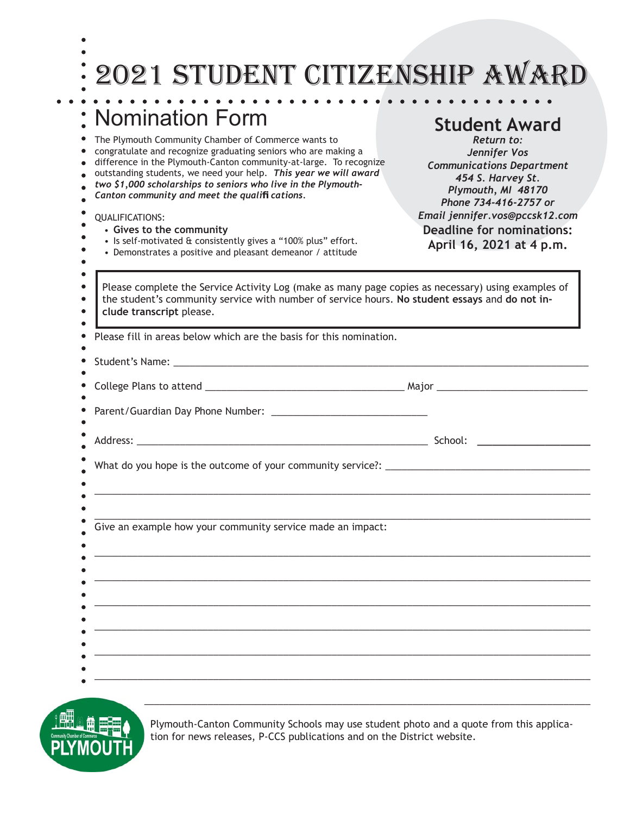## 2021 student citizenship award

**Student Award** *Return to: Jennifer Vos Communications Department 454 S. Harvey St. Plymouth, MI 48170*

## Nomination Form  $\bullet$ The Plymouth Community Chamber of Commerce wants to congratulate and recognize graduating seniors who are making a difference in the Plymouth-Canton community-at-large. To recognize outstanding students, we need your help. *This year we will award two \$1,000 scholarships to seniors who live in the Plymouth-* $\bullet$

*Canton community and meet the qualifi cations.*

| Phone 734-416-2757 or<br>Email jennifer.vos@pccsk12.com<br><b>Deadline for nominations:</b><br>April 16, 2021 at 4 p.m.                                                                              |
|------------------------------------------------------------------------------------------------------------------------------------------------------------------------------------------------------|
| Please complete the Service Activity Log (make as many page copies as necessary) using examples of<br>the student's community service with number of service hours. No student essays and do not in- |
| Please fill in areas below which are the basis for this nomination.                                                                                                                                  |
|                                                                                                                                                                                                      |
|                                                                                                                                                                                                      |
|                                                                                                                                                                                                      |
|                                                                                                                                                                                                      |
|                                                                                                                                                                                                      |
|                                                                                                                                                                                                      |
|                                                                                                                                                                                                      |
|                                                                                                                                                                                                      |
|                                                                                                                                                                                                      |
|                                                                                                                                                                                                      |
|                                                                                                                                                                                                      |

 $\mathcal{L}_\mathcal{L} = \{ \mathcal{L}_\mathcal{L} = \{ \mathcal{L}_\mathcal{L} = \{ \mathcal{L}_\mathcal{L} = \{ \mathcal{L}_\mathcal{L} = \{ \mathcal{L}_\mathcal{L} = \{ \mathcal{L}_\mathcal{L} = \{ \mathcal{L}_\mathcal{L} = \{ \mathcal{L}_\mathcal{L} = \{ \mathcal{L}_\mathcal{L} = \{ \mathcal{L}_\mathcal{L} = \{ \mathcal{L}_\mathcal{L} = \{ \mathcal{L}_\mathcal{L} = \{ \mathcal{L}_\mathcal{L} = \{ \mathcal{L}_\mathcal{$ 

Plymouth-Canton Community Schools may use student photo and a quote from this application for news releases, P-CCS publications and on the District website.

\_\_\_\_\_\_\_\_\_\_\_\_\_\_\_\_\_\_\_\_\_\_\_\_\_\_\_\_\_\_\_\_\_\_\_\_\_\_\_\_\_\_\_\_\_\_\_\_\_\_\_\_\_\_\_\_\_\_\_\_\_\_\_\_\_\_\_\_\_\_\_\_\_\_\_\_\_\_\_\_\_\_\_\_\_\_\_\_\_\_\_\_